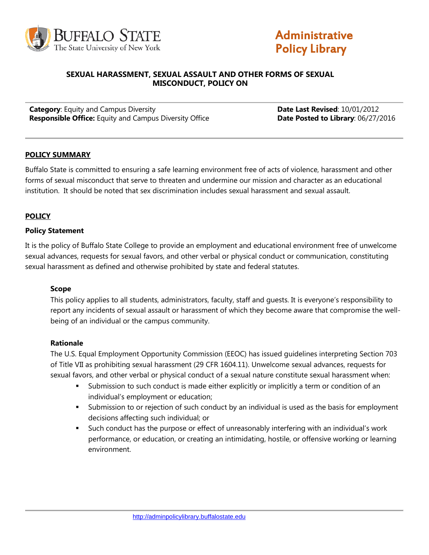



#### **SEXUAL HARASSMENT, SEXUAL ASSAULT AND OTHER FORMS OF SEXUAL MISCONDUCT, POLICY ON**

**Category:** Equity and Campus Diversity **Date Busic Category: Date Last Revised:** 10/01/2012 **Responsible Office:** Equity and Campus Diversity Office **Date Posted to Library**: 06/27/2016

#### **POLICY SUMMARY**

Buffalo State is committed to ensuring a safe learning environment free of acts of violence, harassment and other forms of sexual misconduct that serve to threaten and undermine our mission and character as an educational institution. It should be noted that sex discrimination includes sexual harassment and sexual assault.

#### **POLICY**

#### **Policy Statement**

It is the policy of Buffalo State College to provide an employment and educational environment free of unwelcome sexual advances, requests for sexual favors, and other verbal or physical conduct or communication, constituting sexual harassment as defined and otherwise prohibited by state and federal statutes.

#### **Scope**

This policy applies to all students, administrators, faculty, staff and guests. It is everyone's responsibility to report any incidents of sexual assault or harassment of which they become aware that compromise the wellbeing of an individual or the campus community.

#### **Rationale**

The U.S. Equal Employment Opportunity Commission (EEOC) has issued guidelines interpreting Section 703 of Title VII as prohibiting sexual harassment (29 CFR 1604.11). Unwelcome sexual advances, requests for sexual favors, and other verbal or physical conduct of a sexual nature constitute sexual harassment when:

- Submission to such conduct is made either explicitly or implicitly a term or condition of an individual's employment or education;
- Submission to or rejection of such conduct by an individual is used as the basis for employment decisions affecting such individual; or
- Such conduct has the purpose or effect of unreasonably interfering with an individual's work performance, or education, or creating an intimidating, hostile, or offensive working or learning environment.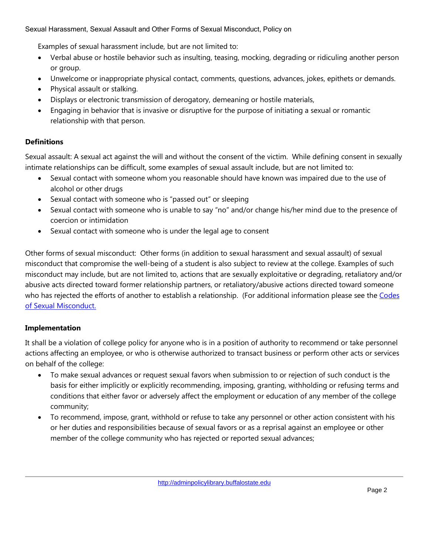Examples of sexual harassment include, but are not limited to:

- Verbal abuse or hostile behavior such as insulting, teasing, mocking, degrading or ridiculing another person or group.
- Unwelcome or inappropriate physical contact, comments, questions, advances, jokes, epithets or demands.
- Physical assault or stalking.
- Displays or electronic transmission of derogatory, demeaning or hostile materials,
- Engaging in behavior that is invasive or disruptive for the purpose of initiating a sexual or romantic relationship with that person.

# **Definitions**

Sexual assault: A sexual act against the will and without the consent of the victim. While defining consent in sexually intimate relationships can be difficult, some examples of sexual assault include, but are not limited to:

- Sexual contact with someone whom you reasonable should have known was impaired due to the use of alcohol or other drugs
- Sexual contact with someone who is "passed out" or sleeping
- Sexual contact with someone who is unable to say "no" and/or change his/her mind due to the presence of coercion or intimidation
- Sexual contact with someone who is under the legal age to consent

Other forms of sexual misconduct: Other forms (in addition to sexual harassment and sexual assault) of sexual misconduct that compromise the well-being of a student is also subject to review at the college. Examples of such misconduct may include, but are not limited to, actions that are sexually exploitative or degrading, retaliatory and/or abusive acts directed toward former relationship partners, or retaliatory/abusive actions directed toward someone who has rejected the efforts of another to establish a relationship. (For additional information please see the Codes [of Sexual Misconduct.](http://deanofstudents.buffalostate.edu/handbook-student-policies%23conduct)

## **Implementation**

It shall be a violation of college policy for anyone who is in a position of authority to recommend or take personnel actions affecting an employee, or who is otherwise authorized to transact business or perform other acts or services on behalf of the college:

- To make sexual advances or request sexual favors when submission to or rejection of such conduct is the basis for either implicitly or explicitly recommending, imposing, granting, withholding or refusing terms and conditions that either favor or adversely affect the employment or education of any member of the college community;
- To recommend, impose, grant, withhold or refuse to take any personnel or other action consistent with his or her duties and responsibilities because of sexual favors or as a reprisal against an employee or other member of the college community who has rejected or reported sexual advances;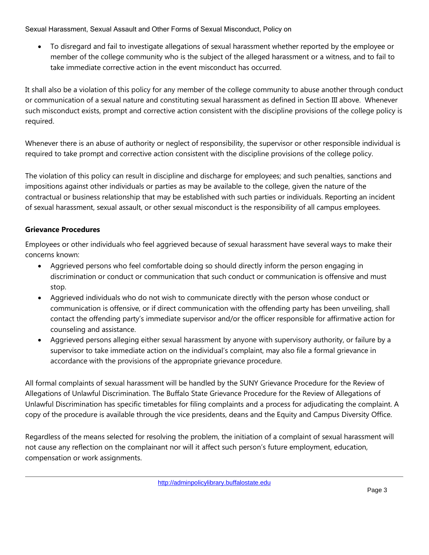• To disregard and fail to investigate allegations of sexual harassment whether reported by the employee or member of the college community who is the subject of the alleged harassment or a witness, and to fail to take immediate corrective action in the event misconduct has occurred.

It shall also be a violation of this policy for any member of the college community to abuse another through conduct or communication of a sexual nature and constituting sexual harassment as defined in Section III above. Whenever such misconduct exists, prompt and corrective action consistent with the discipline provisions of the college policy is required.

Whenever there is an abuse of authority or neglect of responsibility, the supervisor or other responsible individual is required to take prompt and corrective action consistent with the discipline provisions of the college policy.

The violation of this policy can result in discipline and discharge for employees; and such penalties, sanctions and impositions against other individuals or parties as may be available to the college, given the nature of the contractual or business relationship that may be established with such parties or individuals. Reporting an incident of sexual harassment, sexual assault, or other sexual misconduct is the responsibility of all campus employees.

# **Grievance Procedures**

Employees or other individuals who feel aggrieved because of sexual harassment have several ways to make their concerns known:

- Aggrieved persons who feel comfortable doing so should directly inform the person engaging in discrimination or conduct or communication that such conduct or communication is offensive and must stop.
- Aggrieved individuals who do not wish to communicate directly with the person whose conduct or communication is offensive, or if direct communication with the offending party has been unveiling, shall contact the offending party's immediate supervisor and/or the officer responsible for affirmative action for counseling and assistance.
- Aggrieved persons alleging either sexual harassment by anyone with supervisory authority, or failure by a supervisor to take immediate action on the individual's complaint, may also file a formal grievance in accordance with the provisions of the appropriate grievance procedure.

All formal complaints of sexual harassment will be handled by the SUNY Grievance Procedure for the Review of Allegations of Unlawful Discrimination. The Buffalo State Grievance Procedure for the Review of Allegations of Unlawful Discrimination has specific timetables for filing complaints and a process for adjudicating the complaint. A copy of the procedure is available through the vice presidents, deans and the Equity and Campus Diversity Office.

Regardless of the means selected for resolving the problem, the initiation of a complaint of sexual harassment will not cause any reflection on the complainant nor will it affect such person's future employment, education, compensation or work assignments.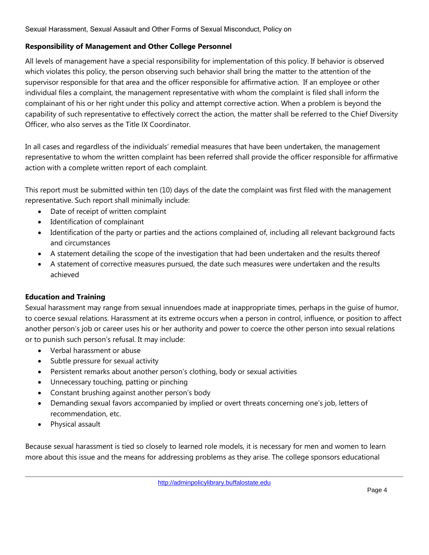### **Responsibility of Management and Other College Personnel**

All levels of management have a special responsibility for implementation of this policy. If behavior is observed which violates this policy, the person observing such behavior shall bring the matter to the attention of the supervisor responsible for that area and the officer responsible for affirmative action. If an employee or other individual files a complaint, the management representative with whom the complaint is filed shall inform the complainant of his or her right under this policy and attempt corrective action. When a problem is beyond the capability of such representative to effectively correct the action, the matter shall be referred to the Chief Diversity Officer, who also serves as the [Title IX Coordinator.](http://equity.buffalostate.edu/chief-diversity-officers-welcome)

In all cases and regardless of the individuals' remedial measures that have been undertaken, the management representative to whom the written complaint has been referred shall provide the officer responsible for affirmative action with a complete written report of each complaint.

This report must be submitted within ten (10) days of the date the complaint was first filed with the management representative. Such report shall minimally include:

- Date of receipt of written complaint
- Identification of complainant
- Identification of the party or parties and the actions complained of, including all relevant background facts and circumstances
- A statement detailing the scope of the investigation that had been undertaken and the results thereof
- A statement of corrective measures pursued, the date such measures were undertaken and the results achieved

## **Education and Training**

Sexual harassment may range from sexual innuendoes made at inappropriate times, perhaps in the guise of humor, to coerce sexual relations. Harassment at its extreme occurs when a person in control, influence, or position to affect another person's job or career uses his or her authority and power to coerce the other person into sexual relations or to punish such person's refusal. It may include:

- Verbal harassment or abuse
- Subtle pressure for sexual activity
- Persistent remarks about another person's clothing, body or sexual activities
- Unnecessary touching, patting or pinching
- Constant brushing against another person's body
- Demanding sexual favors accompanied by implied or overt threats concerning one's job, letters of recommendation, etc.
- Physical assault

Because sexual harassment is tied so closely to learned role models, it is necessary for men and women to learn more about this issue and the means for addressing problems as they arise. The college sponsors educational